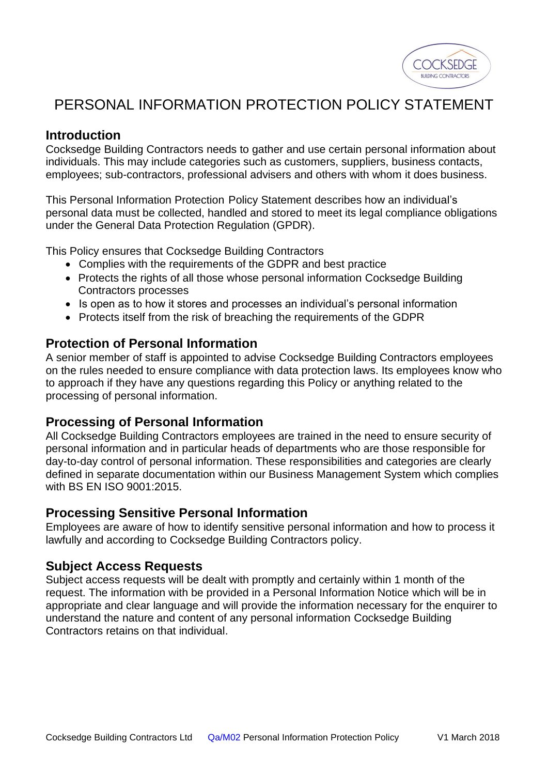

# PERSONAL INFORMATION PROTECTION POLICY STATEMENT

## **Introduction**

Cocksedge Building Contractors needs to gather and use certain personal information about individuals. This may include categories such as customers, suppliers, business contacts, employees; sub-contractors, professional advisers and others with whom it does business.

This Personal Information Protection Policy Statement describes how an individual's personal data must be collected, handled and stored to meet its legal compliance obligations under the General Data Protection Regulation (GPDR).

This Policy ensures that Cocksedge Building Contractors

- Complies with the requirements of the GDPR and best practice
- Protects the rights of all those whose personal information Cocksedge Building Contractors processes
- Is open as to how it stores and processes an individual's personal information
- Protects itself from the risk of breaching the requirements of the GDPR

### **Protection of Personal Information**

A senior member of staff is appointed to advise Cocksedge Building Contractors employees on the rules needed to ensure compliance with data protection laws. Its employees know who to approach if they have any questions regarding this Policy or anything related to the processing of personal information.

## **Processing of Personal Information**

All Cocksedge Building Contractors employees are trained in the need to ensure security of personal information and in particular heads of departments who are those responsible for day-to-day control of personal information. These responsibilities and categories are clearly defined in separate documentation within our Business Management System which complies with BS EN ISO 9001:2015.

### **Processing Sensitive Personal Information**

Employees are aware of how to identify sensitive personal information and how to process it lawfully and according to Cocksedge Building Contractors policy.

### **Subject Access Requests**

Subject access requests will be dealt with promptly and certainly within 1 month of the request. The information with be provided in a Personal Information Notice which will be in appropriate and clear language and will provide the information necessary for the enquirer to understand the nature and content of any personal information Cocksedge Building Contractors retains on that individual.